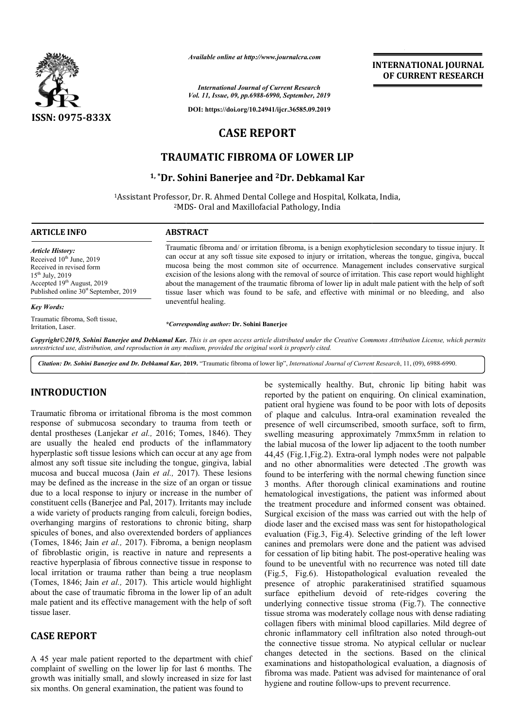

*Available online at http://www.journalcra.com*

**INTERNATIONAL JOURNAL OF CURRENT RESEARCH**

*International Journal of Current Research Vol. 11, Issue, 09, pp.6988-6990, September, 2019*

**DOI: https://doi.org/10.24941/ijcr.36585.09.2019**

# **CASE REPORT**

# **TRAUMATIC FIBROMA OF LOWER LIP**

## **1, \*Dr. Sohini Banerjee Dr. and 2Dr. Debkamal Kar**

<sup>1</sup>Assistant Professor, Dr. R. Ahmed Dental College and Hospital, Kolkata, India, 2MDS MDS- Oral and Maxillofacial Pathology, India

#### **ARTICLE INFO ABSTRACT**

*Article History:* Received 10<sup>th</sup> June, 2019 Received in revised form 15th July, 2019 Accepted 19<sup>th</sup> August, 2019 Published online  $30<sup>st</sup>$  September, 2019

#### *Key Words:*

Traumatic fibroma, Soft tissue, Irritation, Laser.

Traumatic fibroma and/ or irritation fibroma, is a benign exophyticlesion secondary to tissue injury. It can occur at any soft tissue site exposed to injury or irritation, whereas the tongue, gingiva, buccal mucosa being the most common site of occurrence. Management includes conservative surgical excision of the lesions along with the removal of source of irritation. This case report would highlight about the managemen management of the traumatic fibroma of lower lip in adult male patient with the help of soft tissue laser which was found to be safe, and effective with minimal or no bleeding, and also uneventful healing. Traumatic fibroma and/ or irritation fibroma, is a benign exophyticlesion secondary to tissue inj can occur at any soft tissue site exposed to injury or irritation, whereas the tongue, gingiva, I mucosa being the most comm

*\*Corresponding author:*  **Dr. Sohini Banerjee**

Copyright©2019, Sohini Banerjee and Debkamal Kar. This is an open access article distributed under the Creative Commons Attribution License, which permits *unrestricted use, distribution, and reproduction in any medium, provided the original work is properly cited.*

*Citation: Dr. Sohini Banerjee and Dr. Debkamal Kar,* **2019.** "Traumatic fibroma of lower lip", *International Journal of Current Research Research*, 11, (09), 6988-6990.

## **INTRODUCTION**

Traumatic fibroma or irritational fibroma is the most common response of submucosa secondary to trauma from teeth or dental prostheses (Lanjekar *et al.*, 2016; Tomes, 1846). They are usually the healed end products of the inflammatory hyperplastic soft tissue lesions which can occur at any age from almost any soft tissue site including the tongue, gingiva, labial mucosa and buccal mucosa (Jain *et al.,* 2017). These lesions may be defined as the increase in the size of an organ or tissue due to a local response to injury or increase in the number of constituent cells (Banerjee and Pal, 2017). Irritants may include a wide variety of products ranging from calculi, foreign bodies, overhanging margins of restorations to chronic biting, sharp spicules of bones, and also overextended borders of appliances (Tomes, 1846; Jain *et al.,* 2017). Fibroma, a benign neoplasm of fibroblastic origin, is reactive in nature and represents a reactive hyperplasia of fibrous connective tissue in response to local irritation or trauma rather than being a true neoplasm (Tomes, 1846; Jain *et al.,* 2017). This article would highlight about the case of traumatic fibroma in the lower lip of an adult male patient and its effective management with the help of soft tissue laser. ase in the number of<br>Irritants may include<br>alculi, foreign bodies,<br>chronic biting, sharp<br>borders of appliances

## **CASE REPORT**

A 45 year male patient reported to the department with chief complaint of swelling on the lower lip for last 6 months. The growth was initially small, and slowly increased in size for last six months. On general examination, the patient was found to

be systemically healthy. But, chronic lip biting habit was be systemically healthy. But, chronic lip biting habit was reported by the patient on enquiring. On clinical examination, patient oral hygiene was found to be poor with lots of deposits of plaque and calculus. Intra-oral examination revealed the presence of well circumscribed, smooth surface, soft to firm, swelling measuring approximately 7mmx5mm in relation to the labial mucosa of the lower lip adjacent to the tooth number 44,45 (Fig.1,Fig.2). Extra-oral lymph nodes were not palpable the labial mucosa of the lower lip adjacent to the tooth number 44,45 (Fig.1,Fig.2). Extra-oral lymph nodes were not palpable and no other abnormalities were detected .The growth was found to be interfering with the normal chewing function since 3 months. After thorough clinical examinations and routine hematological investigations, the patient was informed about the treatment procedure and informed consent was obtained. Surgical excision of the mass was carried out with the help of diode laser and the excised mass was sent for histopathological evaluation (Fig.3, Fig.4). Selective grinding of the left lower canines and premolars were done and the patient was advised for cessation of lip biting habit. The post-operative healing was found to be uneventful with no recurrence was noted till date (Fig.5, Fig.6). Histopathological evaluation revealed the presence of atrophic parakeratinised stratified squamous found to be uneventful with no recurrence was noted till date<br>
(Fig.5, Fig.6). Histopathological evaluation revealed the<br>
presence of atrophic parakeratinised stratified squamous<br>
surface epithelium devoid of rete-ridges c underlying connective tissue stroma (Fig.7). The connective tissue stroma was moderately collage nous with dense radiating collagen fibers with minimal blood capillaries. Mild degree of collagen fibers with minimal blood capillaries. Mild degree of chronic inflammatory cell infiltration also noted through-out the connective tissue stroma. No atypical cellular or nuclear changes detected in the sections. Based on the clinical examinations and histopathological evaluation, a diagnosis of fibroma was made. Patient was advised for maintenance hygiene and routine follow-ups to prevent recurrence. found to be interfering with the normal chewing function since 3 months. After thorough clinical examinations and routine hematological investigations, the patient was informed about the treatment procedure and informed co ective tissue stroma. No atypical cellular or nuclear<br>detected in the sections. Based on the clinical<br>ons and histopathological evaluation, a diagnosis of<br>vas made. Patient was advised for maintenance of oral INTERNATIONAL JOURNAL<br>
OF CURRENT RESEARCH<br>
OF CURRENT RESEARCH<br>
OF CURRENT RESEARCH<br>
NAta, India,<br>
Nata, India,<br>
Nata, India,<br>
Nata, India,<br>
nata, the conservative surgical points (and in the probability additing<br>
natural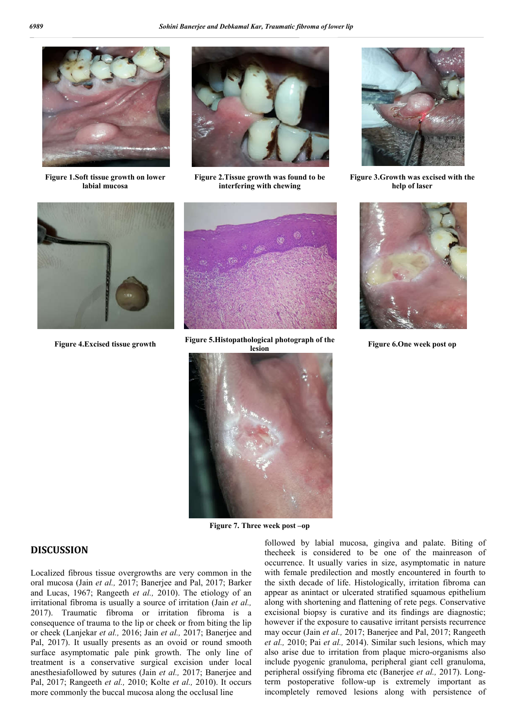

**Figure 1.Soft tissue growth on lower labial mucosa**



**Figure 2.Tissue growth was found to be interfering with chewing**



**Figure 3.Growth was excised with the help of laser**





**Figure 4.Excised tissue growth Figure 5.Histopathological photograph of the** 



**Figure 6.One week post op** 



**Figure 7. Three week post –op**

### **DISCUSSION**

Localized fibrous tissue overgrowths are very common in the oral mucosa (Jain *et al.,* 2017; Banerjee and Pal, 2017; Barker and Lucas, 1967; Rangeeth *et al.,* 2010). The etiology of an irritational fibroma is usually a source of irritation (Jain *et al.,*  2017). Traumatic fibroma or irritation fibroma is a consequence of trauma to the lip or cheek or from biting the lip or cheek (Lanjekar *et al.,* 2016; Jain *et al.,* 2017; Banerjee and Pal, 2017). It usually presents as an ovoid or round smooth surface asymptomatic pale pink growth. The only line of treatment is a conservative surgical excision under local anesthesiafollowed by sutures (Jain *et al.,* 2017; Banerjee and Pal, 2017; Rangeeth *et al.,* 2010; Kolte *et al.,* 2010). It occurs more commonly the buccal mucosa along the occlusal line

followed by labial mucosa, gingiva and palate. Biting of thecheek is considered to be one of the mainreason of occurrence. It usually varies in size, asymptomatic in nature with female predilection and mostly encountered in fourth to the sixth decade of life. Histologically, irritation fibroma can appear as anintact or ulcerated stratified squamous epithelium along with shortening and flattening of rete pegs. Conservative excisional biopsy is curative and its findings are diagnostic; however if the exposure to causative irritant persists recurrence may occur (Jain *et al.,* 2017; Banerjee and Pal, 2017; Rangeeth *et al.,* 2010; Pai *et al.,* 2014). Similar such lesions, which may also arise due to irritation from plaque micro-organisms also include pyogenic granuloma, peripheral giant cell granuloma, peripheral ossifying fibroma etc (Banerjee *et al.,* 2017). Longterm postoperative follow-up is extremely important as incompletely removed lesions along with persistence of